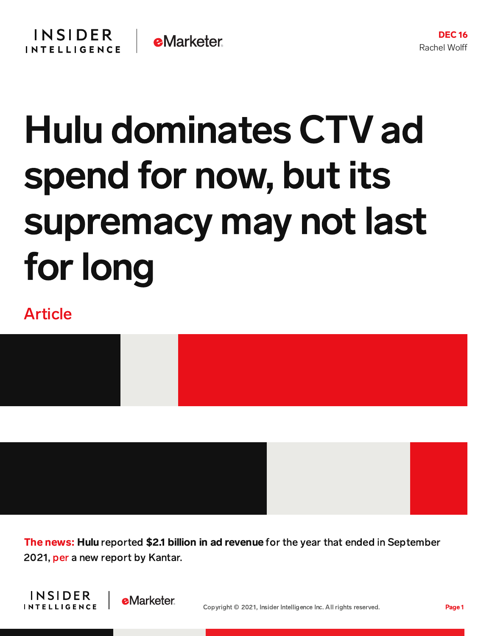## Hulu dominates CTV ad spend for now, but its supremacy may not last for long

## Article



The news: Hulu reported \$2.1 billion in ad revenue for the year that ended in September 2021, [per](https://www.mediapost.com/publications/article/369440/top-4-streaming-platforms-total-35-billion-over.html) a new report by Kantar.



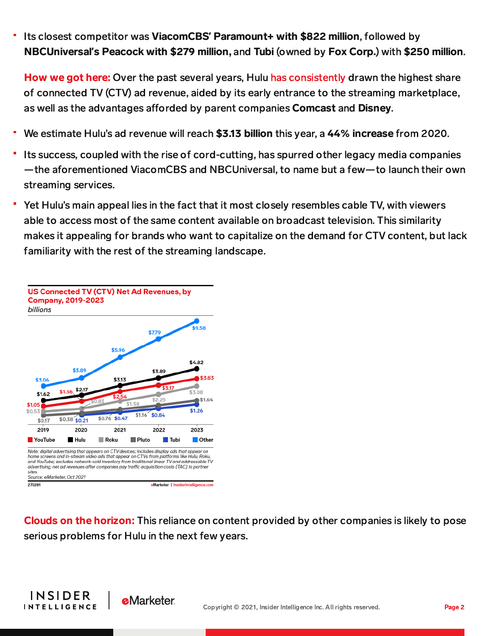Its closest competitor was ViacomCBS**'** Paramount+ with \$822 million, followed by NBCUniversal**'**s Peacock with \$279 million, and Tubi (owned by Fox Corp.) with \$250 million.

How we got here: Over the past several years, Hulu has consistently drawn the highest share of connected TV (CTV) ad revenue, aided by its early entrance to the streaming marketplace, as well as the advantages afforded by parent companies Comcast and Disney.

- We estimate Hulu's ad revenue will reach \$3.13 billion this year, a 44% increase from 2020.
- Its success, coupled with the rise of cord-cutting, has spurred other legacy media companies —the aforementioned ViacomCBS and NBCUniversal, to name but a few—to launch their own streaming services.
- Yet Hulu's main appeal lies in the fact that it most closely resembles cable TV, with viewers able to access most of the same content available on broadcast television. This similarity makes it appealing for brands who want to capitalize on the demand for CTV content, but lack familiarity with the rest of the streaming landscape.



Clouds on the horizon: This reliance on content provided by other companies is likely to pose serious problems for Hulu in the next few years.